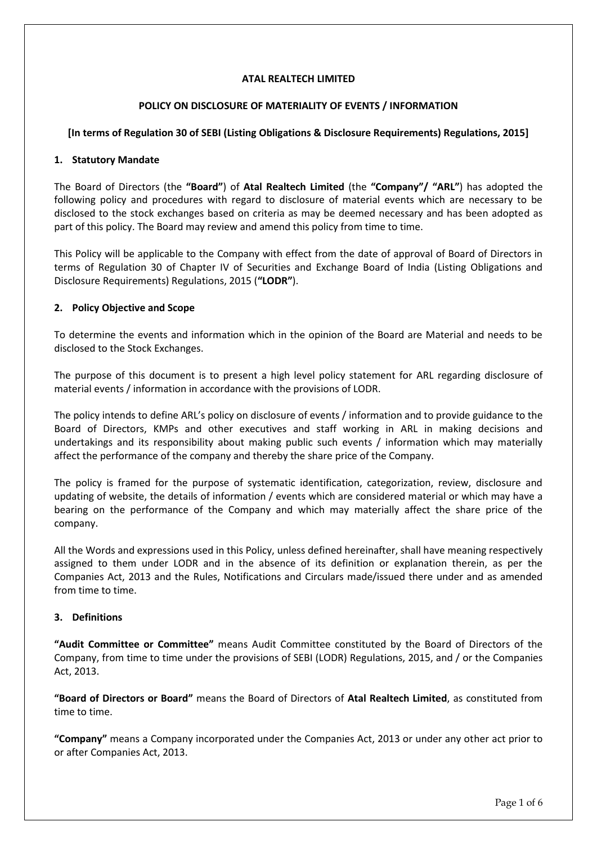### **ATAL REALTECH LIMITED**

### **POLICY ON DISCLOSURE OF MATERIALITY OF EVENTS / INFORMATION**

## **[In terms of Regulation 30 of SEBI (Listing Obligations & Disclosure Requirements) Regulations, 2015]**

### **1. Statutory Mandate**

The Board of Directors (the **"Board"**) of **Atal Realtech Limited** (the **"Company"/ "ARL"**) has adopted the following policy and procedures with regard to disclosure of material events which are necessary to be disclosed to the stock exchanges based on criteria as may be deemed necessary and has been adopted as part of this policy. The Board may review and amend this policy from time to time.

This Policy will be applicable to the Company with effect from the date of approval of Board of Directors in terms of Regulation 30 of Chapter IV of Securities and Exchange Board of India (Listing Obligations and Disclosure Requirements) Regulations, 2015 (**"LODR"**).

## **2. Policy Objective and Scope**

To determine the events and information which in the opinion of the Board are Material and needs to be disclosed to the Stock Exchanges.

The purpose of this document is to present a high level policy statement for ARL regarding disclosure of material events / information in accordance with the provisions of LODR.

The policy intends to define ARL's policy on disclosure of events / information and to provide guidance to the Board of Directors, KMPs and other executives and staff working in ARL in making decisions and undertakings and its responsibility about making public such events / information which may materially affect the performance of the company and thereby the share price of the Company.

The policy is framed for the purpose of systematic identification, categorization, review, disclosure and updating of website, the details of information / events which are considered material or which may have a bearing on the performance of the Company and which may materially affect the share price of the company.

All the Words and expressions used in this Policy, unless defined hereinafter, shall have meaning respectively assigned to them under LODR and in the absence of its definition or explanation therein, as per the Companies Act, 2013 and the Rules, Notifications and Circulars made/issued there under and as amended from time to time.

### **3. Definitions**

**"Audit Committee or Committee"** means Audit Committee constituted by the Board of Directors of the Company, from time to time under the provisions of SEBI (LODR) Regulations, 2015, and / or the Companies Act, 2013.

**"Board of Directors or Board"** means the Board of Directors of **Atal Realtech Limited**, as constituted from time to time.

**"Company"** means a Company incorporated under the Companies Act, 2013 or under any other act prior to or after Companies Act, 2013.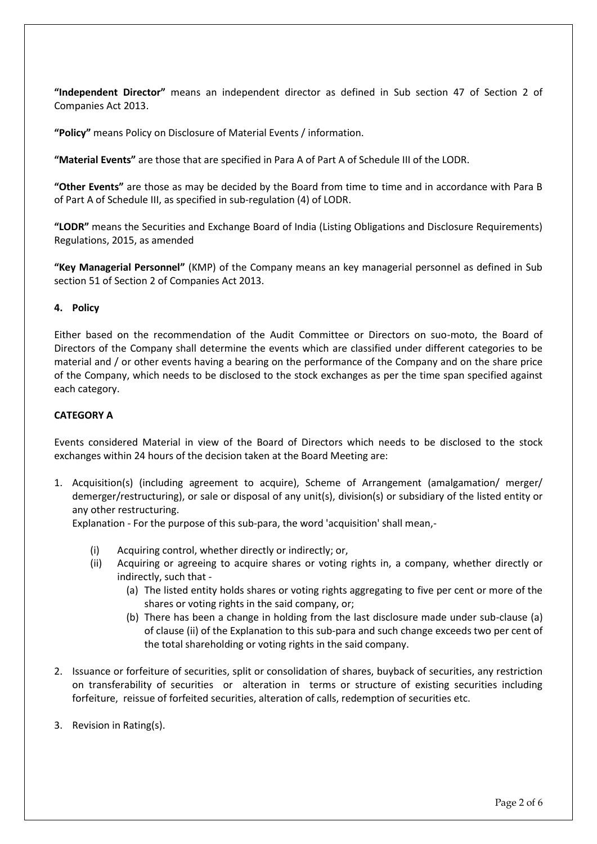**"Independent Director"** means an independent director as defined in Sub section 47 of Section 2 of Companies Act 2013.

**"Policy"** means Policy on Disclosure of Material Events / information.

**"Material Events"** are those that are specified in Para A of Part A of Schedule III of the LODR.

**"Other Events"** are those as may be decided by the Board from time to time and in accordance with Para B of Part A of Schedule III, as specified in sub-regulation (4) of LODR.

**"LODR"** means the Securities and Exchange Board of India (Listing Obligations and Disclosure Requirements) Regulations, 2015, as amended

**"Key Managerial Personnel"** (KMP) of the Company means an key managerial personnel as defined in Sub section 51 of Section 2 of Companies Act 2013.

### **4. Policy**

Either based on the recommendation of the Audit Committee or Directors on suo-moto, the Board of Directors of the Company shall determine the events which are classified under different categories to be material and / or other events having a bearing on the performance of the Company and on the share price of the Company, which needs to be disclosed to the stock exchanges as per the time span specified against each category.

# **CATEGORY A**

Events considered Material in view of the Board of Directors which needs to be disclosed to the stock exchanges within 24 hours of the decision taken at the Board Meeting are:

1. Acquisition(s) (including agreement to acquire), Scheme of Arrangement (amalgamation/ merger/ demerger/restructuring), or sale or disposal of any unit(s), division(s) or subsidiary of the listed entity or any other restructuring.

Explanation - For the purpose of this sub-para, the word 'acquisition' shall mean,-

- (i) Acquiring control, whether directly or indirectly; or,
- (ii) Acquiring or agreeing to acquire shares or voting rights in, a company, whether directly or indirectly, such that -
	- (a) The listed entity holds shares or voting rights aggregating to five per cent or more of the shares or voting rights in the said company, or;
	- (b) There has been a change in holding from the last disclosure made under sub-clause (a) of clause (ii) of the Explanation to this sub-para and such change exceeds two per cent of the total shareholding or voting rights in the said company.
- 2. Issuance or forfeiture of securities, split or consolidation of shares, buyback of securities, any restriction on transferability of securities or alteration in terms or structure of existing securities including forfeiture, reissue of forfeited securities, alteration of calls, redemption of securities etc.
- 3. Revision in Rating(s).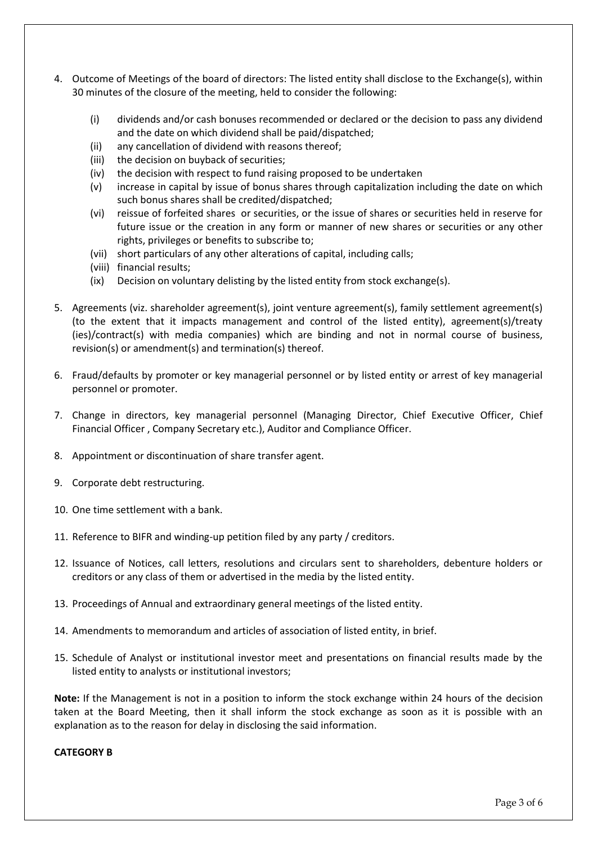- 4. Outcome of Meetings of the board of directors: The listed entity shall disclose to the Exchange(s), within 30 minutes of the closure of the meeting, held to consider the following:
	- (i) dividends and/or cash bonuses recommended or declared or the decision to pass any dividend and the date on which dividend shall be paid/dispatched;
	- (ii) any cancellation of dividend with reasons thereof;
	- (iii) the decision on buyback of securities;
	- (iv) the decision with respect to fund raising proposed to be undertaken
	- (v) increase in capital by issue of bonus shares through capitalization including the date on which such bonus shares shall be credited/dispatched;
	- (vi) reissue of forfeited shares or securities, or the issue of shares or securities held in reserve for future issue or the creation in any form or manner of new shares or securities or any other rights, privileges or benefits to subscribe to;
	- (vii) short particulars of any other alterations of capital, including calls;
	- (viii) financial results;
	- (ix) Decision on voluntary delisting by the listed entity from stock exchange(s).
- 5. Agreements (viz. shareholder agreement(s), joint venture agreement(s), family settlement agreement(s) (to the extent that it impacts management and control of the listed entity), agreement(s)/treaty (ies)/contract(s) with media companies) which are binding and not in normal course of business, revision(s) or amendment(s) and termination(s) thereof.
- 6. Fraud/defaults by promoter or key managerial personnel or by listed entity or arrest of key managerial personnel or promoter.
- 7. Change in directors, key managerial personnel (Managing Director, Chief Executive Officer, Chief Financial Officer , Company Secretary etc.), Auditor and Compliance Officer.
- 8. Appointment or discontinuation of share transfer agent.
- 9. Corporate debt restructuring.
- 10. One time settlement with a bank.
- 11. Reference to BIFR and winding-up petition filed by any party / creditors.
- 12. Issuance of Notices, call letters, resolutions and circulars sent to shareholders, debenture holders or creditors or any class of them or advertised in the media by the listed entity.
- 13. Proceedings of Annual and extraordinary general meetings of the listed entity.
- 14. Amendments to memorandum and articles of association of listed entity, in brief.
- 15. Schedule of Analyst or institutional investor meet and presentations on financial results made by the listed entity to analysts or institutional investors;

**Note:** If the Management is not in a position to inform the stock exchange within 24 hours of the decision taken at the Board Meeting, then it shall inform the stock exchange as soon as it is possible with an explanation as to the reason for delay in disclosing the said information.

### **CATEGORY B**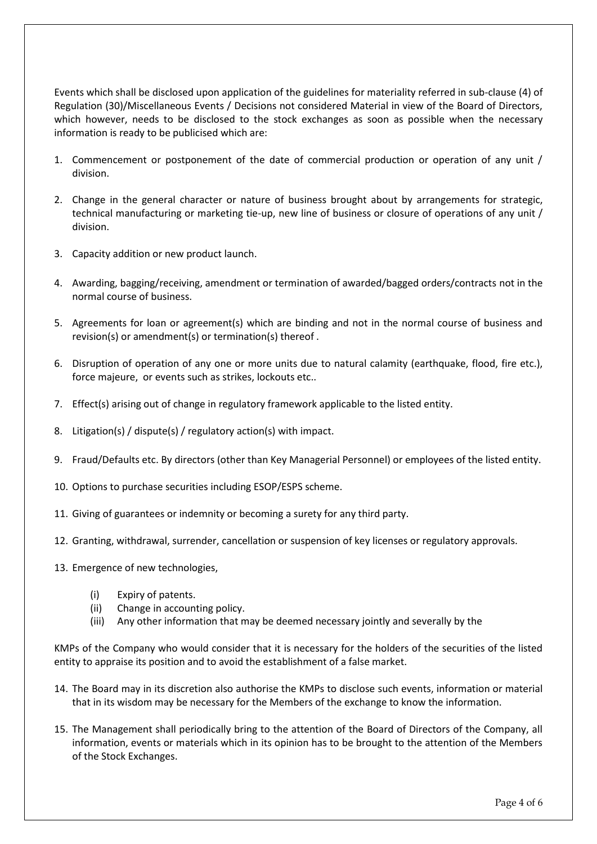Events which shall be disclosed upon application of the guidelines for materiality referred in sub-clause (4) of Regulation (30)/Miscellaneous Events / Decisions not considered Material in view of the Board of Directors, which however, needs to be disclosed to the stock exchanges as soon as possible when the necessary information is ready to be publicised which are:

- 1. Commencement or postponement of the date of commercial production or operation of any unit / division.
- 2. Change in the general character or nature of business brought about by arrangements for strategic, technical manufacturing or marketing tie-up, new line of business or closure of operations of any unit / division.
- 3. Capacity addition or new product launch.
- 4. Awarding, bagging/receiving, amendment or termination of awarded/bagged orders/contracts not in the normal course of business.
- 5. Agreements for loan or agreement(s) which are binding and not in the normal course of business and revision(s) or amendment(s) or termination(s) thereof .
- 6. Disruption of operation of any one or more units due to natural calamity (earthquake, flood, fire etc.), force majeure, or events such as strikes, lockouts etc..
- 7. Effect(s) arising out of change in regulatory framework applicable to the listed entity.
- 8. Litigation(s) / dispute(s) / regulatory action(s) with impact.
- 9. Fraud/Defaults etc. By directors (other than Key Managerial Personnel) or employees of the listed entity.
- 10. Options to purchase securities including ESOP/ESPS scheme.
- 11. Giving of guarantees or indemnity or becoming a surety for any third party.
- 12. Granting, withdrawal, surrender, cancellation or suspension of key licenses or regulatory approvals.
- 13. Emergence of new technologies,
	- (i) Expiry of patents.
	- (ii) Change in accounting policy.
	- (iii) Any other information that may be deemed necessary jointly and severally by the

KMPs of the Company who would consider that it is necessary for the holders of the securities of the listed entity to appraise its position and to avoid the establishment of a false market.

- 14. The Board may in its discretion also authorise the KMPs to disclose such events, information or material that in its wisdom may be necessary for the Members of the exchange to know the information.
- 15. The Management shall periodically bring to the attention of the Board of Directors of the Company, all information, events or materials which in its opinion has to be brought to the attention of the Members of the Stock Exchanges.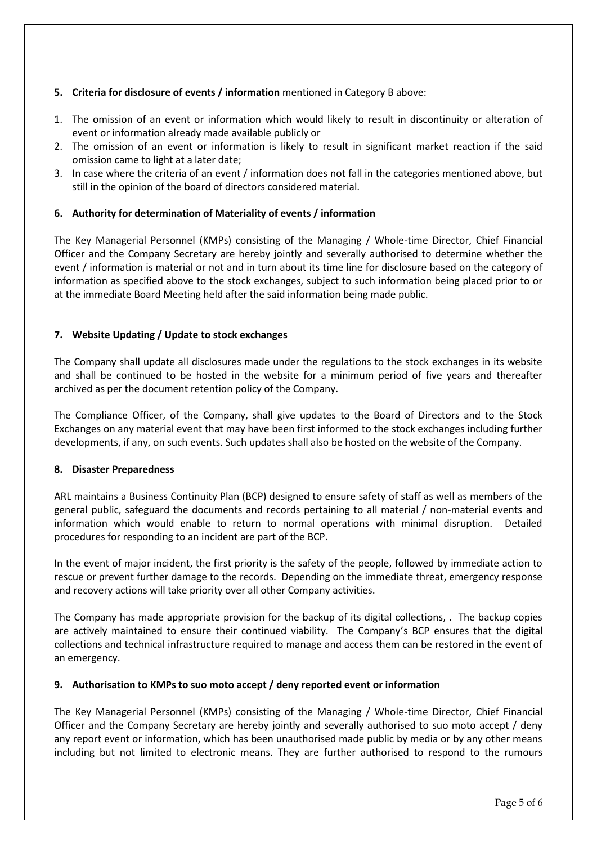# **5. Criteria for disclosure of events / information** mentioned in Category B above:

- 1. The omission of an event or information which would likely to result in discontinuity or alteration of event or information already made available publicly or
- 2. The omission of an event or information is likely to result in significant market reaction if the said omission came to light at a later date;
- 3. In case where the criteria of an event / information does not fall in the categories mentioned above, but still in the opinion of the board of directors considered material.

## **6. Authority for determination of Materiality of events / information**

The Key Managerial Personnel (KMPs) consisting of the Managing / Whole-time Director, Chief Financial Officer and the Company Secretary are hereby jointly and severally authorised to determine whether the event / information is material or not and in turn about its time line for disclosure based on the category of information as specified above to the stock exchanges, subject to such information being placed prior to or at the immediate Board Meeting held after the said information being made public.

## **7. Website Updating / Update to stock exchanges**

The Company shall update all disclosures made under the regulations to the stock exchanges in its website and shall be continued to be hosted in the website for a minimum period of five years and thereafter archived as per the document retention policy of the Company.

The Compliance Officer, of the Company, shall give updates to the Board of Directors and to the Stock Exchanges on any material event that may have been first informed to the stock exchanges including further developments, if any, on such events. Such updates shall also be hosted on the website of the Company.

### **8. Disaster Preparedness**

ARL maintains a Business Continuity Plan (BCP) designed to ensure safety of staff as well as members of the general public, safeguard the documents and records pertaining to all material / non-material events and information which would enable to return to normal operations with minimal disruption. Detailed procedures for responding to an incident are part of the BCP.

In the event of major incident, the first priority is the safety of the people, followed by immediate action to rescue or prevent further damage to the records. Depending on the immediate threat, emergency response and recovery actions will take priority over all other Company activities.

The Company has made appropriate provision for the backup of its digital collections, . The backup copies are actively maintained to ensure their continued viability. The Company's BCP ensures that the digital collections and technical infrastructure required to manage and access them can be restored in the event of an emergency.

### **9. Authorisation to KMPs to suo moto accept / deny reported event or information**

The Key Managerial Personnel (KMPs) consisting of the Managing / Whole-time Director, Chief Financial Officer and the Company Secretary are hereby jointly and severally authorised to suo moto accept / deny any report event or information, which has been unauthorised made public by media or by any other means including but not limited to electronic means. They are further authorised to respond to the rumours